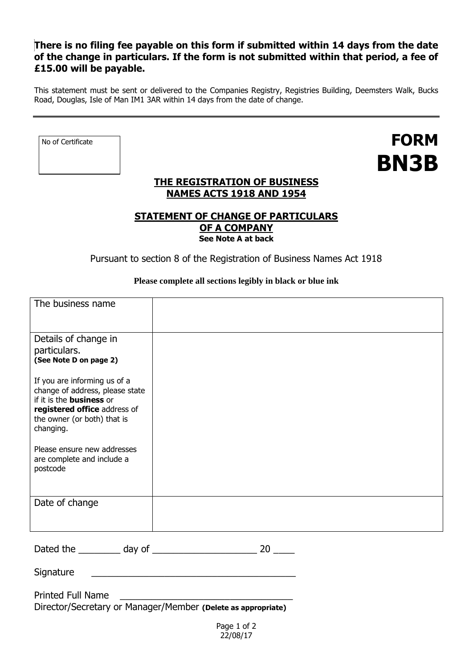# **There is no filing fee payable on this form if submitted within 14 days from the date of the change in particulars. If the form is not submitted within that period, a fee of £15.00 will be payable.**

This statement must be sent or delivered to the Companies Registry, Registries Building, Deemsters Walk, Bucks Road, Douglas, Isle of Man IM1 3AR within 14 days from the date of change.

No of Certificate

**FORM BN3B**

## **THE REGISTRATION OF BUSINESS NAMES ACTS 1918 AND 1954**

## **STATEMENT OF CHANGE OF PARTICULARS OF A COMPANY See Note A at back**

Pursuant to section 8 of the Registration of Business Names Act 1918

### **Please complete all sections legibly in black or blue ink**

| The business name                                                                                                                                                              |  |
|--------------------------------------------------------------------------------------------------------------------------------------------------------------------------------|--|
| Details of change in<br>particulars.<br>(See Note D on page 2)                                                                                                                 |  |
| If you are informing us of a<br>change of address, please state<br>if it is the <b>business</b> or<br>registered office address of<br>the owner (or both) that is<br>changing. |  |
| Please ensure new addresses<br>are complete and include a<br>postcode                                                                                                          |  |
| Date of change                                                                                                                                                                 |  |
|                                                                                                                                                                                |  |

| Dated the | day of |  |  |
|-----------|--------|--|--|
|           |        |  |  |

Signature \_\_\_\_\_\_\_\_\_\_\_\_\_\_\_\_\_\_\_\_\_\_\_\_\_\_\_\_\_\_\_\_\_\_\_\_\_\_\_

Printed Full Name

Director/Secretary or Manager/Member **(Delete as appropriate)**